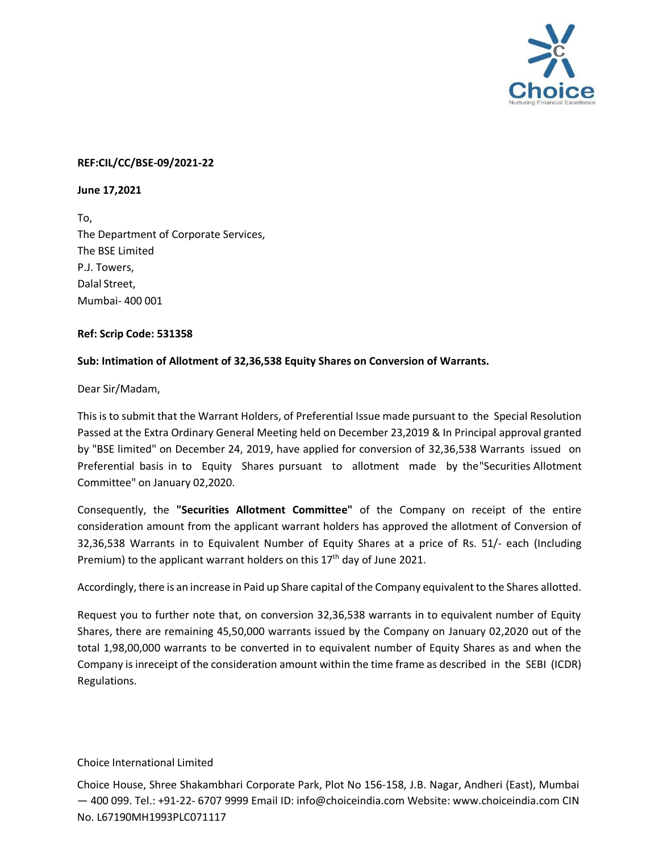

## **REF:CIL/CC/BSE-09/2021-22**

**June 17,2021**

To, The Department of Corporate Services, The BSE Limited P.J. Towers, Dalal Street, Mumbai- 400 001

## **Ref: Scrip Code: 531358**

## **Sub: Intimation of Allotment of 32,36,538 Equity Shares on Conversion of Warrants.**

Dear Sir/Madam,

This is to submit that the Warrant Holders, of Preferential Issue made pursuant to the Special Resolution Passed at the Extra Ordinary General Meeting held on December 23,2019 & In Principal approval granted by "BSE limited" on December 24, 2019, have applied for conversion of 32,36,538 Warrants issued on Preferential basis in to Equity Shares pursuant to allotment made by the "Securities Allotment Committee" on January 02,2020.

Consequently, the **"Securities Allotment Committee"** of the Company on receipt of the entire consideration amount from the applicant warrant holders has approved the allotment of Conversion of 32,36,538 Warrants in to Equivalent Number of Equity Shares at a price of Rs. 51/- each (Including Premium) to the applicant warrant holders on this 17<sup>th</sup> day of June 2021.

Accordingly, there is an increase in Paid up Share capital of the Company equivalent to the Shares allotted.

Request you to further note that, on conversion 32,36,538 warrants in to equivalent number of Equity Shares, there are remaining 45,50,000 warrants issued by the Company on January 02,2020 out of the total 1,98,00,000 warrants to be converted in to equivalent number of Equity Shares as and when the Company is inreceipt of the consideration amount within the time frame as described in the SEBI (ICDR) Regulations.

## Choice International Limited

Choice House, Shree Shakambhari Corporate Park, Plot No 156-158, J.B. Nagar, Andheri (East), Mumbai — 400 099. Tel.: +91-22- 6707 9999 Email ID: [info@choiceindia.com](mailto:info@choiceindia.com) Website: [www.choiceindia.com](http://www.choiceindia.com/) CIN No. L67190MH1993PLC071117